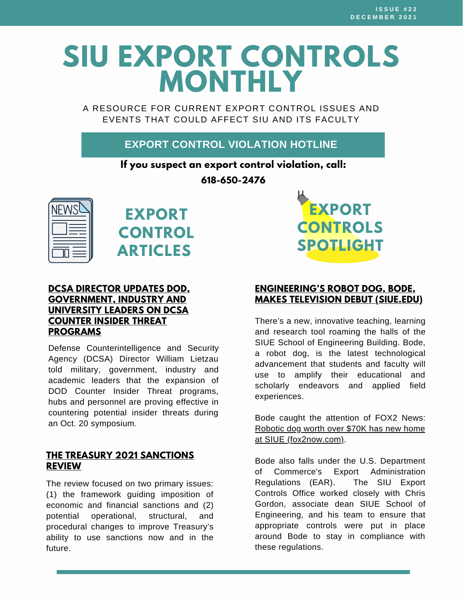# **SIU EXPORT CONTROLS MONTHLY**

A RESOURCE FOR CURRENT EXPORT CONTROL ISSUES AND EVENTS THAT COULD AFFECT SIU AND ITS FACULTY

#### **EXPORT CONTROL VIOLATION HOTLINE**

**If you suspect an export control violation, call:**

**618-650-2476**





#### **DCSA DIRECTOR UPDATES DOD, [GOVERNMENT,](https://www.dvidshub.net/news/407739/dcsa-director-updates-dod-government-industry-and-university-leaders-dcsa-counter-insider-threat-programs) INDUSTRY AND UNIVERSITY LEADERS ON DCSA COUNTER INSIDER THREAT PROGRAMS**

Defense Counterintelligence and Security Agency (DCSA) Director William Lietzau told military, government, industry and academic leaders that the expansion of DOD Counter Insider Threat programs, hubs and personnel are proving effective in countering potential insider threats during an Oct. 20 symposium.

#### **THE TREASURY 2021 [SANCTIONS](https://home.treasury.gov/system/files/136/Treasury-2021-sanctions-review.pdf) REVIEW**

The review focused on two primary issues: (1) the framework guiding imposition of economic and financial sanctions and (2) potential [operational,](https://home.treasury.gov/system/files/136/Treasury-2021-sanctions-review.pdf) structural, and procedural changes to improve Treasury's ability to use sanctions now and in the future.



#### **[ENGINEERING'S](https://www.siue.edu/news/2021/11/EngineeringsRobotDog,Bode,MakesTelevisionDebut.shtml) ROBOT DOG, BODE, MAKES TELEVISION DEBUT (SIUE.EDU)**

There's a new, innovative teaching, learning and research tool roaming the halls of the SIUE School of Engineering Building. Bode, a robot dog, is the latest technological advancement that students and faculty will use to amplify their educational and scholarly endeavors and applied field experiences.

Bode caught the attention of FOX2 News: Robotic dog worth over \$70K has new home at SIUE [\(fox2now.com\).](https://fox2now.com/news/robotic-dog-worth-over-70k-has-new-home-at-siue/)

Bode also falls under the U.S. Department of Commerce's Export Administration Regulations (EAR). The SIU Export Controls Office worked closely with Chris Gordon, associate dean SIUE School of Engineering, and his team to ensure that appropriate controls were put in place around Bode to stay in compliance with these regulations.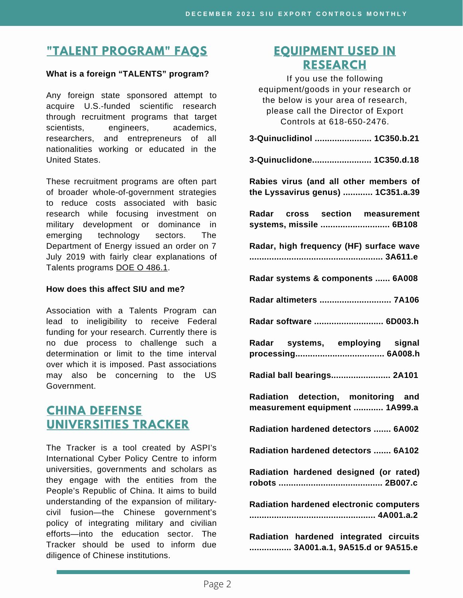# **"TALENT [PROGRAM"](https://siusystem.edu/academic-affairs/export-controls/foreign-talent-programs.shtml) FAQS**

#### **What is a foreign "TALENTS" program?**

Any foreign state sponsored attempt to acquire U.S.-funded scientific research through recruitment programs that target scientists, engineers, academics, researchers, and entrepreneurs of all nationalities working or educated in the United States.

These recruitment programs are often part of broader whole-of-government strategies to reduce costs associated with basic research while focusing investment on military development or dominance in emerging technology sectors. The Department of Energy issued an order on 7 July 2019 with fairly clear explanations of Talents programs DOE O [486.1.](https://www.directives.doe.gov/directives-documents/400-series/0486-1-border/@@images/file)

#### **How does this affect SIU and me?**

Association with a Talents Program can lead to ineligibility to receive Federal funding for your research. Currently there is no due process to challenge such a determination or limit to the time interval over which it is imposed. Past associations may also be concerning to the US Government.

#### **CHINA DEFENSE [UNIVERSITIES](https://unitracker.aspi.org.au/) TRACKER**

The Tracker is a tool created by ASPI's International Cyber Policy Centre to inform universities, governments and scholars as they engage with the entities from the People's Republic of China. It aims to build understanding of the expansion of militarycivil fusion—the Chinese government's policy of integrating military and civilian efforts—into the education sector. The Tracker should be used to inform due diligence of Chinese institutions.

#### **[EQUIPMENT](https://www.bis.doc.gov/index.php/documents/regulations-docs/2329-commerce-control-list-index-3/file) USED IN RESEARCH**

If you use the following equipment/goods in your research or the below is your area of research, please call the Director of Export Controls at 618-650-2476. **3-Quinuclidinol ....................... 1C350.b.21 3-Quinuclidone........................ 1C350.d.18 Rabies virus (and all other members of the Lyssavirus genus) ............ 1C351.a.39 Radar cross section measurement systems, missile ............................ 6B108 Radar, high frequency (HF) surface wave ...................................................... 3A611.e Radar systems & components ...... 6A008 Radar altimeters ............................. 7A106 Radar software ............................ 6D003.h Radar systems, employing signal processing.................................... 6A008.h Radial ball bearings........................ 2A101 Radiation detection, monitoring and measurement equipment ............ 1A999.a Radiation hardened detectors ....... 6A002 Radiation hardened detectors ....... 6A102 Radiation hardened designed (or rated) robots .......................................... 2B007.c Radiation hardened electronic computers ................................................... 4A001.a.2**

**Radiation hardened integrated circuits ................. 3A001.a.1, 9A515.d or 9A515.e**